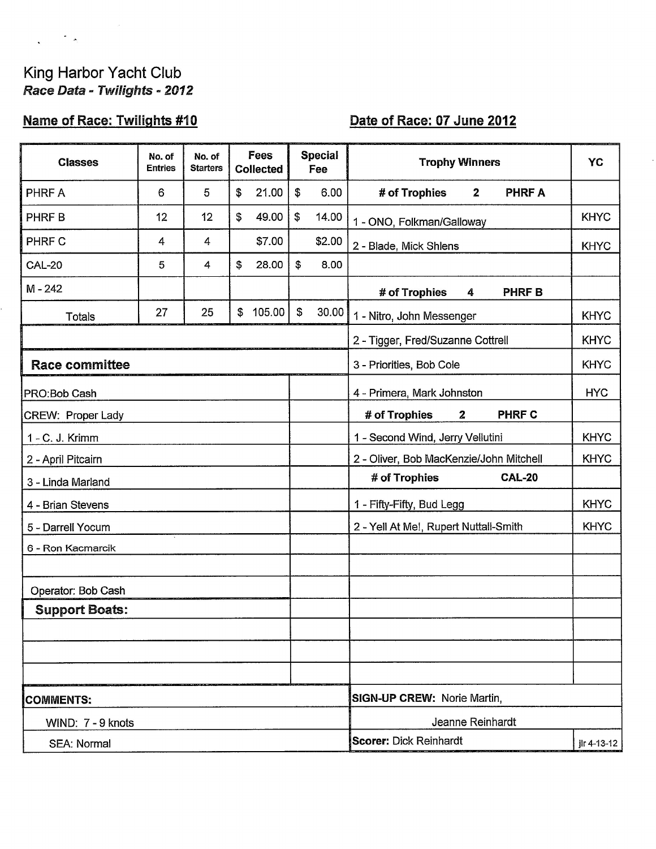# King Harbor Yacht Club<br>Race Data - Twilights - 2012

 $\frac{1}{2}$  ,  $\frac{1}{2}$  ,  $\frac{1}{2}$  ,  $\frac{1}{2}$ 

# Name of Race: Twilights #10

# Date of Race: 07 June 2012

| <b>Classes</b>        | No. of<br><b>Entries</b> | No. of<br><b>Starters</b> | Fees<br><b>Collected</b> |        |               | <b>Special</b><br>Fee | <b>Trophy Winners</b>                           | YC          |
|-----------------------|--------------------------|---------------------------|--------------------------|--------|---------------|-----------------------|-------------------------------------------------|-------------|
| PHRF A                | 6                        | 5                         | \$                       | 21.00  | \$            | 6.00                  | # of Trophies<br>$\overline{2}$<br><b>PHRFA</b> |             |
| PHRF B                | 12                       | 12                        | $\mathfrak{s}$           | 49.00  | $\mathfrak s$ | 14.00                 | 1 - ONO, Folkman/Galloway                       | <b>KHYC</b> |
| PHRF C                | 4                        | 4                         |                          | \$7.00 |               | \$2.00                | 2 - Blade, Mick Shlens                          | <b>KHYC</b> |
| <b>CAL-20</b>         | 5                        | 4                         | \$                       | 28.00  | \$            | 8.00                  |                                                 |             |
| $M - 242$             |                          |                           |                          |        |               |                       | # of Trophies<br><b>PHRFB</b><br>4              |             |
| <b>Totals</b>         | 27                       | 25                        | \$                       | 105.00 | \$            | 30.00                 | 1 - Nitro, John Messenger                       | <b>KHYC</b> |
|                       |                          |                           |                          |        |               |                       | 2 - Tigger, Fred/Suzanne Cottrell               | <b>KHYC</b> |
| <b>Race committee</b> |                          |                           |                          |        |               |                       | 3 - Priorities, Bob Cole                        | <b>KHYC</b> |
| PRO:Bob Cash          |                          |                           |                          |        |               |                       | 4 - Primera, Mark Johnston                      | <b>HYC</b>  |
| CREW: Proper Lady     |                          |                           |                          |        |               |                       | <b>PHRF C</b><br># of Trophies<br>$\mathbf{2}$  |             |
| 1 - C. J. Krimm       |                          |                           |                          |        |               |                       | 1 - Second Wind, Jerry Vellutini                | <b>KHYC</b> |
| 2 - April Pitcairn    |                          |                           |                          |        |               |                       | 2 - Oliver, Bob MacKenzie/John Mitchell         | <b>KHYC</b> |
| 3 - Linda Marland     |                          |                           |                          |        |               |                       | # of Trophies<br><b>CAL-20</b>                  |             |
| 4 - Brian Stevens     |                          |                           |                          |        |               |                       | 1 - Fifty-Fifty, Bud Legg                       | <b>KHYC</b> |
| 5 - Darrell Yocum     |                          |                           |                          |        |               |                       | 2 - Yell At Me!, Rupert Nuttall-Smith           | <b>KHYC</b> |
| 6 - Ron Kacmarcik     |                          |                           |                          |        |               |                       |                                                 |             |
|                       |                          |                           |                          |        |               |                       |                                                 |             |
| Operator: Bob Cash    |                          |                           |                          |        |               |                       |                                                 |             |
| <b>Support Boats:</b> |                          |                           |                          |        |               |                       |                                                 |             |
|                       |                          |                           |                          |        |               |                       |                                                 |             |
|                       |                          |                           |                          |        |               |                       |                                                 |             |
|                       |                          |                           |                          |        |               |                       |                                                 |             |
| <b>COMMENTS:</b>      |                          |                           |                          |        |               |                       | SIGN-UP CREW: Norie Martin,                     |             |
| WIND: 7 - 9 knots     |                          |                           |                          |        |               |                       | Jeanne Reinhardt                                |             |
| SEA: Normal           |                          |                           |                          |        |               |                       | <b>Scorer: Dick Reinhardt</b>                   | jlr 4-13-12 |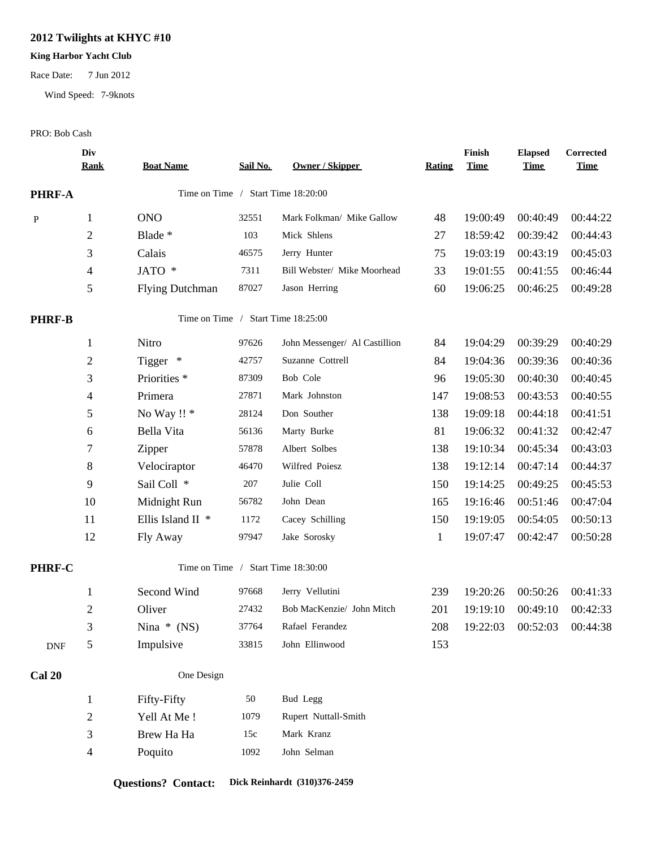## **2012 Twilights at KHYC #10**

#### **King Harbor Yacht Club**

Race Date: 7 Jun 2012

Wind Speed: 7-9knots

#### PRO: Bob Cash

|               | Div<br><b>Rank</b> | <b>Boat Name</b>        | Sail No. | <b>Owner / Skipper</b>             | <b>Rating</b> | Finish<br><b>Time</b> | <b>Elapsed</b><br><b>Time</b> | Corrected<br><b>Time</b> |
|---------------|--------------------|-------------------------|----------|------------------------------------|---------------|-----------------------|-------------------------------|--------------------------|
| <b>PHRF-A</b> |                    |                         |          | Time on Time / Start Time 18:20:00 |               |                       |                               |                          |
| $\, {\bf P}$  | $\mathbf{1}$       | <b>ONO</b>              | 32551    | Mark Folkman/ Mike Gallow          | 48            | 19:00:49              | 00:40:49                      | 00:44:22                 |
|               | 2                  | Blade *                 | 103      | Mick Shlens                        | 27            | 18:59:42              | 00:39:42                      | 00:44:43                 |
|               | 3                  | Calais                  | 46575    | Jerry Hunter                       | 75            | 19:03:19              | 00:43:19                      | 00:45:03                 |
|               | $\overline{4}$     | JATO *                  | 7311     | Bill Webster/ Mike Moorhead        | 33            | 19:01:55              | 00:41:55                      | 00:46:44                 |
|               | 5                  | <b>Flying Dutchman</b>  | 87027    | Jason Herring                      | 60            | 19:06:25              | 00:46:25                      | 00:49:28                 |
| <b>PHRF-B</b> |                    |                         |          | Time on Time / Start Time 18:25:00 |               |                       |                               |                          |
|               | $\mathbf{1}$       | Nitro                   | 97626    | John Messenger/ Al Castillion      | 84            | 19:04:29              | 00:39:29                      | 00:40:29                 |
|               | $\overline{c}$     | Tigger *                | 42757    | Suzanne Cottrell                   | 84            | 19:04:36              | 00:39:36                      | 00:40:36                 |
|               | 3                  | Priorities <sup>*</sup> | 87309    | Bob Cole                           | 96            | 19:05:30              | 00:40:30                      | 00:40:45                 |
|               | $\overline{4}$     | Primera                 | 27871    | Mark Johnston                      | 147           | 19:08:53              | 00:43:53                      | 00:40:55                 |
|               | 5                  | No Way !! *             | 28124    | Don Souther                        | 138           | 19:09:18              | 00:44:18                      | 00:41:51                 |
|               | 6                  | Bella Vita              | 56136    | Marty Burke                        | 81            | 19:06:32              | 00:41:32                      | 00:42:47                 |
|               | 7                  | Zipper                  | 57878    | Albert Solbes                      | 138           | 19:10:34              | 00:45:34                      | 00:43:03                 |
|               | $8\,$              | Velociraptor            | 46470    | Wilfred Poiesz                     | 138           | 19:12:14              | 00:47:14                      | 00:44:37                 |
|               | 9                  | Sail Coll *             | 207      | Julie Coll                         | 150           | 19:14:25              | 00:49:25                      | 00:45:53                 |
|               | 10                 | Midnight Run            | 56782    | John Dean                          | 165           | 19:16:46              | 00:51:46                      | 00:47:04                 |
|               | 11                 | Ellis Island II *       | 1172     | Cacey Schilling                    | 150           | 19:19:05              | 00:54:05                      | 00:50:13                 |
|               | 12                 | Fly Away                | 97947    | Jake Sorosky                       | $\mathbf{1}$  | 19:07:47              | 00:42:47                      | 00:50:28                 |
| PHRF-C        |                    |                         |          | Time on Time / Start Time 18:30:00 |               |                       |                               |                          |
|               | $\mathbf{1}$       | Second Wind             | 97668    | Jerry Vellutini                    | 239           | 19:20:26              | 00:50:26                      | 00:41:33                 |
|               | $\overline{c}$     | Oliver                  | 27432    | Bob MacKenzie/ John Mitch          | 201           | 19:19:10              | 00:49:10                      | 00:42:33                 |
|               | 3                  | Nina $*(NS)$            | 37764    | Rafael Ferandez                    | 208           | 19:22:03              | 00:52:03                      | 00:44:38                 |
| <b>DNF</b>    | 5                  | Impulsive               | 33815    | John Ellinwood                     | 153           |                       |                               |                          |
| <b>Cal 20</b> |                    | One Design              |          |                                    |               |                       |                               |                          |
|               | $\mathbf{1}$       | Fifty-Fifty             | 50       | <b>Bud Legg</b>                    |               |                       |                               |                          |
|               | $\mathbf{2}$       | Yell At Me!             | 1079     | Rupert Nuttall-Smith               |               |                       |                               |                          |
|               | $\mathfrak{Z}$     | Brew Ha Ha              | 15c      | Mark Kranz                         |               |                       |                               |                          |
|               | $\overline{4}$     | Poquito                 | 1092     | John Selman                        |               |                       |                               |                          |

## **Questions? Contact: Dick Reinhardt (310)376-2459**